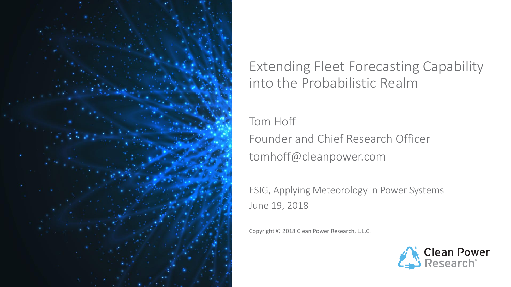

#### Extending Fleet Forecasting Capability into the Probabilistic Realm

Tom Hoff Founder and Chief Research Officer tomhoff@cleanpower.com

ESIG, Applying Meteorology in Power Systems June 19, 2018

Copyright © 2018 Clean Power Research, L.L.C.

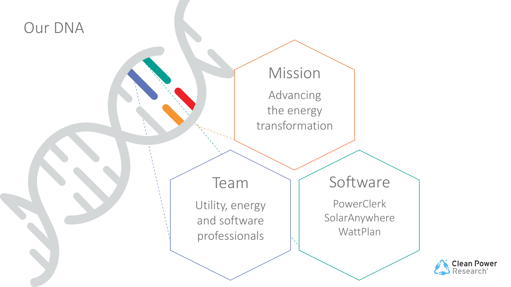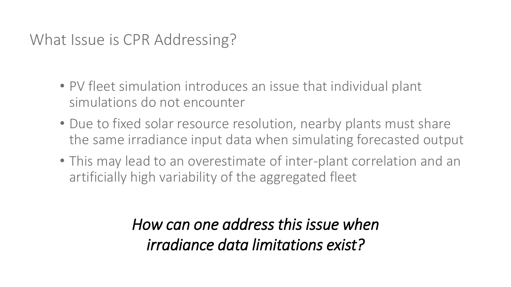## What Issue is CPR Addressing?

- PV fleet simulation introduces an issue that individual plant simulations do not encounter
- Due to fixed solar resource resolution, nearby plants must share the same irradiance input data when simulating forecasted output
- This may lead to an overestimate of inter-plant correlation and an artificially high variability of the aggregated fleet

# *How can one address this issue when irradiance data limitations exist?*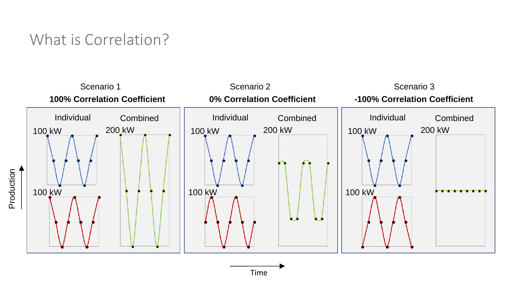### What is Correlation?



Time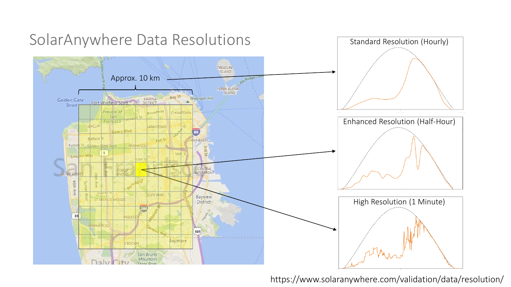

#### https://www.solaranywhere.com/validation/data/resolution/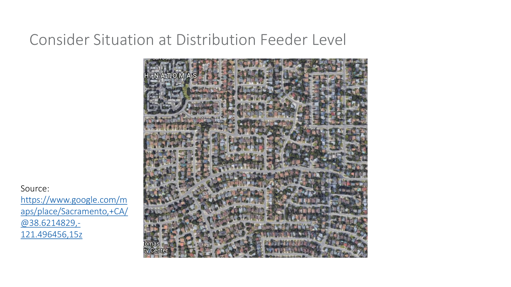#### Consider Situation at Distribution Feeder Level



Source: https://www.google.com/m [aps/place/Sacramento,+CA/](https://www.google.com/maps/place/Sacramento,+CA/@38.6214829,-121.496456,15z) @38.6214829,- 121.496456,15z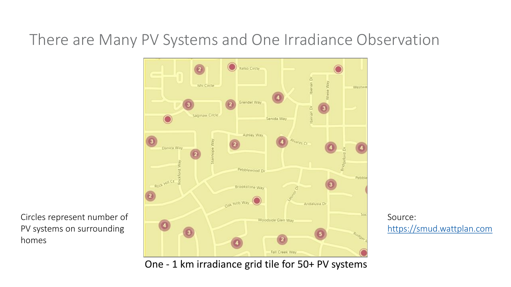### There are Many PV Systems and One Irradiance Observation



Circles represent number of PV systems on surrounding homes

Source: [https://smud.wattplan.com](https://smud.wattplan.com/)

One - 1 km irradiance grid tile for 50+ PV systems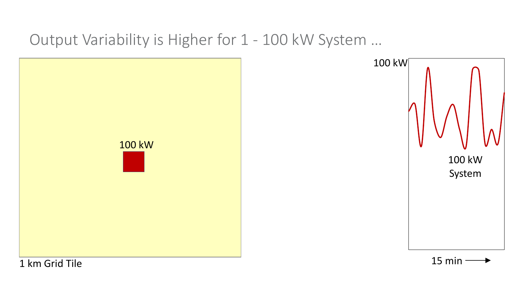#### Output Variability is Higher for 1 - 100 kW System …

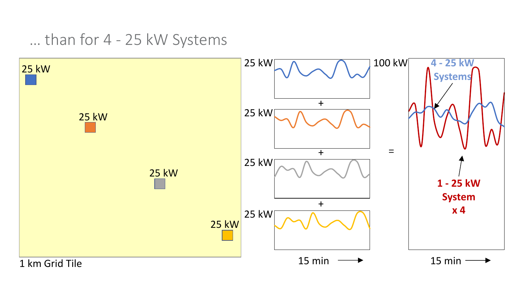… than for 4 - 25 kW Systems

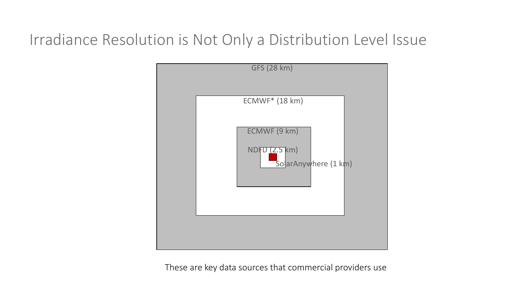### Irradiance Resolution is Not Only a Distribution Level Issue



These are key data sources that commercial providers use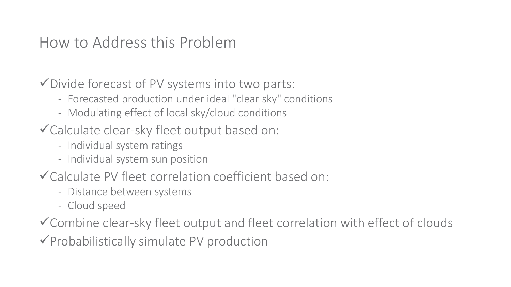#### How to Address this Problem

✓Divide forecast of PV systems into two parts:

- Forecasted production under ideal "clear sky" conditions
- Modulating effect of local sky/cloud conditions
- ✓Calculate clear-sky fleet output based on:
	- Individual system ratings
	- Individual system sun position
- ✓Calculate PV fleet correlation coefficient based on:
	- Distance between systems
	- Cloud speed

✓Combine clear-sky fleet output and fleet correlation with effect of clouds

✓Probabilistically simulate PV production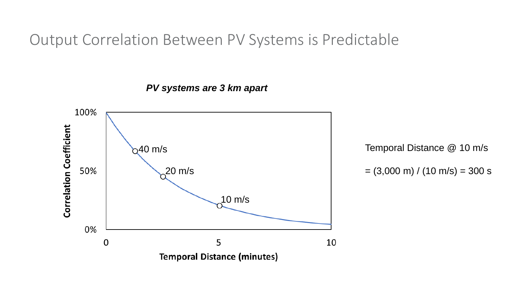Output Correlation Between PV Systems is Predictable

*PV systems are 3 km apart*



 $= (3,000 \text{ m}) / (10 \text{ m/s}) = 300 \text{ s}$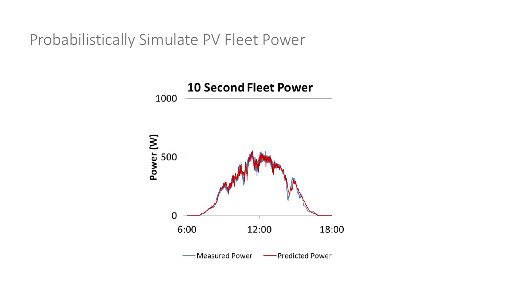Probabilistically Simulate PV Fleet Power

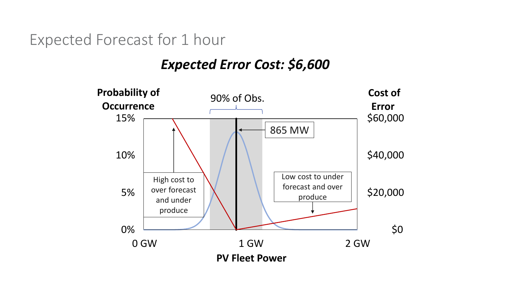Expected Forecast for 1 hour

#### *Expected Error Cost: \$6,600*

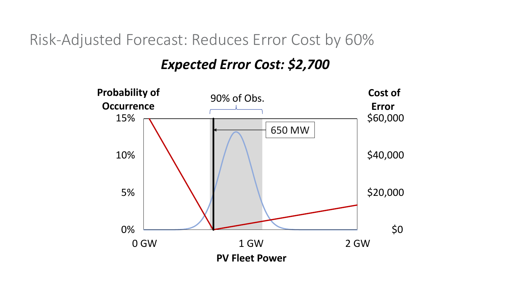Risk-Adjusted Forecast: Reduces Error Cost by 60%

#### *Expected Error Cost: \$2,700*

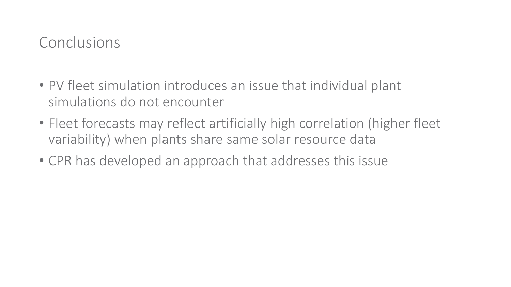#### Conclusions

- PV fleet simulation introduces an issue that individual plant simulations do not encounter
- Fleet forecasts may reflect artificially high correlation (higher fleet variability) when plants share same solar resource data
- CPR has developed an approach that addresses this issue